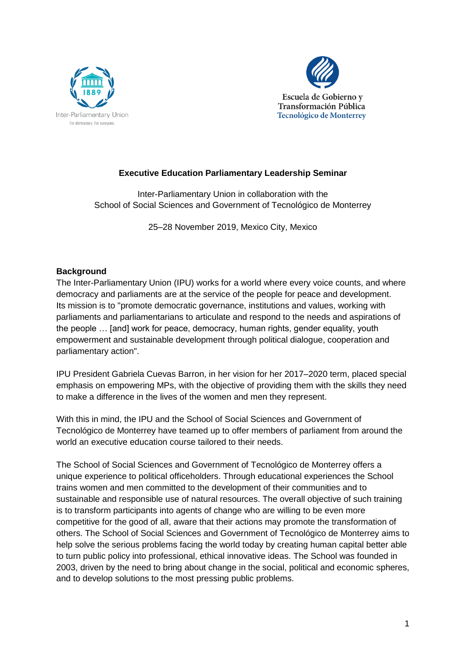



## **Executive Education Parliamentary Leadership Seminar**

Inter-Parliamentary Union in collaboration with the School of Social Sciences and Government of Tecnológico de Monterrey

25–28 November 2019, Mexico City, Mexico

## **Background**

The Inter-Parliamentary Union (IPU) works for a world where every voice counts, and where democracy and parliaments are at the service of the people for peace and development. Its mission is to "promote democratic governance, institutions and values, working with parliaments and parliamentarians to articulate and respond to the needs and aspirations of the people … [and] work for peace, democracy, human rights, gender equality, youth empowerment and sustainable development through political dialogue, cooperation and parliamentary action".

IPU President Gabriela Cuevas Barron, in her vision for her 2017–2020 term, placed special emphasis on empowering MPs, with the objective of providing them with the skills they need to make a difference in the lives of the women and men they represent.

With this in mind, the IPU and the School of Social Sciences and Government of Tecnológico de Monterrey have teamed up to offer members of parliament from around the world an executive education course tailored to their needs.

The School of Social Sciences and Government of Tecnológico de Monterrey offers a unique experience to political officeholders. Through educational experiences the School trains women and men committed to the development of their communities and to sustainable and responsible use of natural resources. The overall objective of such training is to transform participants into agents of change who are willing to be even more competitive for the good of all, aware that their actions may promote the transformation of others. The School of Social Sciences and Government of Tecnológico de Monterrey aims to help solve the serious problems facing the world today by creating human capital better able to turn public policy into professional, ethical innovative ideas. The School was founded in 2003, driven by the need to bring about change in the social, political and economic spheres, and to develop solutions to the most pressing public problems.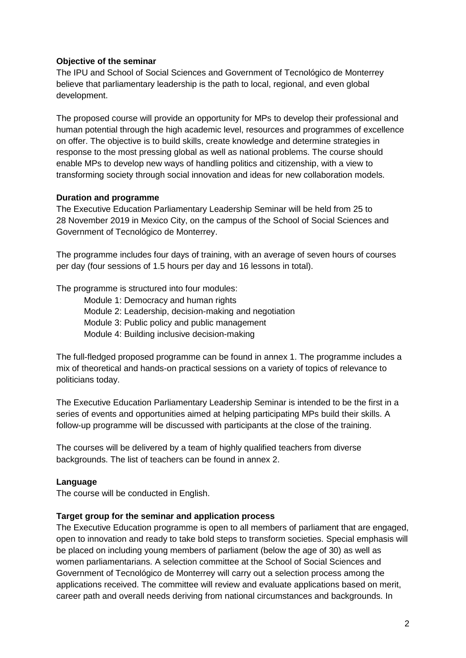## **Objective of the seminar**

The IPU and School of Social Sciences and Government of Tecnológico de Monterrey believe that parliamentary leadership is the path to local, regional, and even global development.

The proposed course will provide an opportunity for MPs to develop their professional and human potential through the high academic level, resources and programmes of excellence on offer. The objective is to build skills, create knowledge and determine strategies in response to the most pressing global as well as national problems. The course should enable MPs to develop new ways of handling politics and citizenship, with a view to transforming society through social innovation and ideas for new collaboration models.

## **Duration and programme**

The Executive Education Parliamentary Leadership Seminar will be held from 25 to 28 November 2019 in Mexico City, on the campus of the School of Social Sciences and Government of Tecnológico de Monterrey.

The programme includes four days of training, with an average of seven hours of courses per day (four sessions of 1.5 hours per day and 16 lessons in total).

The programme is structured into four modules:

Module 1: Democracy and human rights Module 2: Leadership, decision-making and negotiation Module 3: Public policy and public management Module 4: Building inclusive decision-making

The full-fledged proposed programme can be found in annex 1. The programme includes a mix of theoretical and hands-on practical sessions on a variety of topics of relevance to politicians today.

The Executive Education Parliamentary Leadership Seminar is intended to be the first in a series of events and opportunities aimed at helping participating MPs build their skills. A follow-up programme will be discussed with participants at the close of the training.

The courses will be delivered by a team of highly qualified teachers from diverse backgrounds. The list of teachers can be found in annex 2.

#### **Language**

The course will be conducted in English.

#### **Target group for the seminar and application process**

The Executive Education programme is open to all members of parliament that are engaged, open to innovation and ready to take bold steps to transform societies. Special emphasis will be placed on including young members of parliament (below the age of 30) as well as women parliamentarians. A selection committee at the School of Social Sciences and Government of Tecnológico de Monterrey will carry out a selection process among the applications received. The committee will review and evaluate applications based on merit, career path and overall needs deriving from national circumstances and backgrounds. In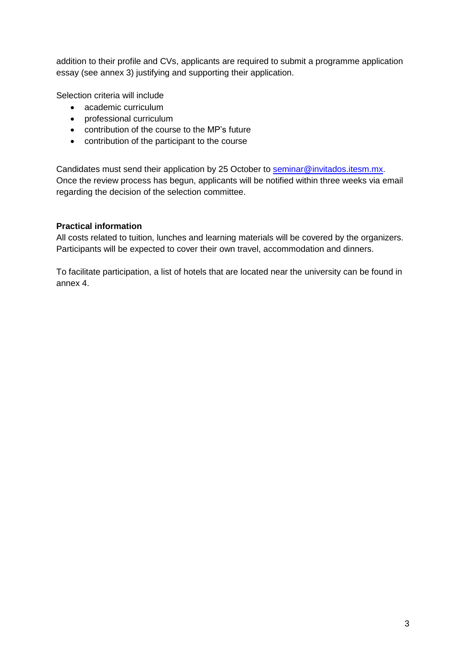addition to their profile and CVs, applicants are required to submit a programme application essay (see annex 3) justifying and supporting their application.

Selection criteria will include

- academic curriculum
- professional curriculum
- contribution of the course to the MP's future
- contribution of the participant to the course

Candidates must send their application by 25 October to [seminar@invitados.itesm.mx.](mailto:seminar@invitados.itesm.mx) Once the review process has begun, applicants will be notified within three weeks via email regarding the decision of the selection committee.

## **Practical information**

All costs related to tuition, lunches and learning materials will be covered by the organizers. Participants will be expected to cover their own travel, accommodation and dinners.

To facilitate participation, a list of hotels that are located near the university can be found in annex 4.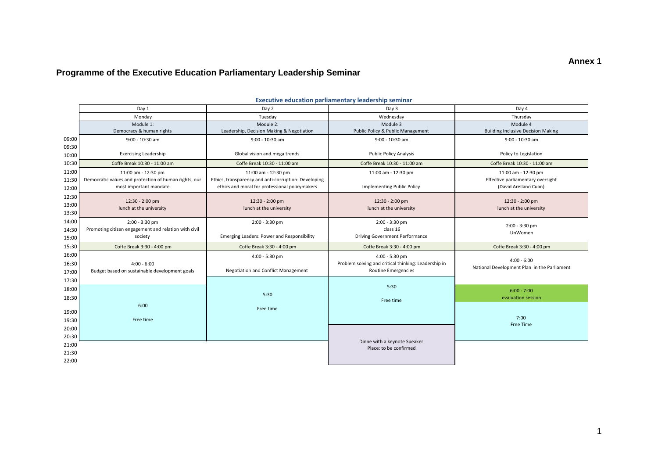# **Programme of the Executive Education Parliamentary Leadership Seminar**

|                | <b>Executive education parliamentary leadership seminar</b>                     |                                                                                                        |                                                      |                                                              |  |  |  |  |  |  |  |  |  |
|----------------|---------------------------------------------------------------------------------|--------------------------------------------------------------------------------------------------------|------------------------------------------------------|--------------------------------------------------------------|--|--|--|--|--|--|--|--|--|
|                | Day 1                                                                           | Day 2                                                                                                  | Day 3                                                | Day 4                                                        |  |  |  |  |  |  |  |  |  |
|                | Monday                                                                          | Tuesday                                                                                                | Wednesday                                            | Thursday                                                     |  |  |  |  |  |  |  |  |  |
|                | Module 1:                                                                       | Module 2:                                                                                              |                                                      | Module 4                                                     |  |  |  |  |  |  |  |  |  |
|                | Democracy & human rights                                                        | Leadership, Decision Making & Negotiation                                                              | Public Policy & Public Management                    | <b>Building Inclusive Decision Making</b>                    |  |  |  |  |  |  |  |  |  |
| 09:00          | $9:00 - 10:30$ am                                                               | 9:00 - 10:30 am                                                                                        |                                                      | 9:00 - 10:30 am                                              |  |  |  |  |  |  |  |  |  |
| 09:30<br>10:00 | <b>Exercising Leadership</b>                                                    | Global vision and mega trends                                                                          | <b>Public Policy Analysis</b>                        | Policy to Legislation                                        |  |  |  |  |  |  |  |  |  |
| 10:30          | Coffe Break 10:30 - 11:00 am                                                    | Coffe Break 10:30 - 11:00 am                                                                           | Coffe Break 10:30 - 11:00 am                         | Coffe Break 10:30 - 11:00 am                                 |  |  |  |  |  |  |  |  |  |
| 11:00          | 11:00 am - 12:30 pm                                                             | 11:00 am - 12:30 pm                                                                                    | 11:00 am - 12:30 pm                                  | 11:00 am - 12:30 pm                                          |  |  |  |  |  |  |  |  |  |
| 11:30<br>12:00 | Democratic values and protection of human rights, our<br>most important mandate | Ethics, transparency and anti-corruption: Developing<br>ethics and moral for professional policymakers |                                                      | Effective parliamentary oversight<br>(David Arellano Cuan)   |  |  |  |  |  |  |  |  |  |
| 12:30          |                                                                                 |                                                                                                        |                                                      |                                                              |  |  |  |  |  |  |  |  |  |
| 13:00          | 12:30 - 2:00 pm                                                                 | 12:30 - 2:00 pm                                                                                        | 12:30 - 2:00 pm                                      | 12:30 - 2:00 pm                                              |  |  |  |  |  |  |  |  |  |
| 13:30          | lunch at the university                                                         | lunch at the university                                                                                | lunch at the university                              | lunch at the university                                      |  |  |  |  |  |  |  |  |  |
| 14:00          | $2:00 - 3:30$ pm                                                                | $2:00 - 3:30$ pm                                                                                       | 2:00 - 3:30 pm                                       |                                                              |  |  |  |  |  |  |  |  |  |
| 14:30          | Promoting citizen engagement and relation with civil                            |                                                                                                        | class 16                                             | 2:00 - 3:30 pm<br>UnWomen                                    |  |  |  |  |  |  |  |  |  |
| 15:00          | society                                                                         | Emerging Leaders: Power and Responsibility                                                             | <b>Driving Government Performance</b>                |                                                              |  |  |  |  |  |  |  |  |  |
| 15:30          | Coffe Break 3:30 - 4:00 pm                                                      | Coffe Break 3:30 - 4:00 pm                                                                             | Coffe Break 3:30 - 4:00 pm                           | Coffe Break 3:30 - 4:00 pm                                   |  |  |  |  |  |  |  |  |  |
| 16:00          |                                                                                 | 4:00 - 5:30 pm                                                                                         | 4:00 - 5:30 pm                                       |                                                              |  |  |  |  |  |  |  |  |  |
| 16:30          | $4:00 - 6:00$                                                                   |                                                                                                        | Problem solving and critical thinking: Leadership in | $4:00 - 6:00$<br>National Development Plan in the Parliament |  |  |  |  |  |  |  |  |  |
| 17:00          | Budget based on sustainable development goals                                   | Negotiation and Conflict Management                                                                    | Routine Emergencies                                  |                                                              |  |  |  |  |  |  |  |  |  |
| 17:30          |                                                                                 |                                                                                                        |                                                      |                                                              |  |  |  |  |  |  |  |  |  |
| 18:00          |                                                                                 |                                                                                                        | 5:30                                                 | $6:00 - 7:00$                                                |  |  |  |  |  |  |  |  |  |
| 18:30          |                                                                                 | 5:30                                                                                                   | Free time                                            | evaluation session                                           |  |  |  |  |  |  |  |  |  |
|                | 6:00                                                                            | Free time                                                                                              |                                                      |                                                              |  |  |  |  |  |  |  |  |  |
| 19:00          |                                                                                 |                                                                                                        |                                                      |                                                              |  |  |  |  |  |  |  |  |  |
| 19:30          | Free time                                                                       |                                                                                                        |                                                      | 7:00<br>Free Time                                            |  |  |  |  |  |  |  |  |  |
| 20:00          |                                                                                 |                                                                                                        |                                                      |                                                              |  |  |  |  |  |  |  |  |  |
| 20:30          |                                                                                 |                                                                                                        | Dinne with a keynote Speaker                         |                                                              |  |  |  |  |  |  |  |  |  |
| 21:00          |                                                                                 |                                                                                                        | Place: to be confirmed                               |                                                              |  |  |  |  |  |  |  |  |  |
| 21:30          |                                                                                 |                                                                                                        |                                                      |                                                              |  |  |  |  |  |  |  |  |  |
| 22:00          |                                                                                 |                                                                                                        |                                                      |                                                              |  |  |  |  |  |  |  |  |  |

#### **Executive education parliamentary leadership seminar**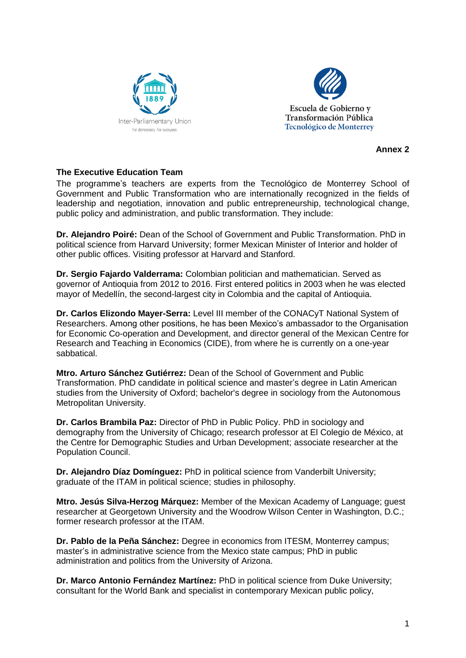



**Annex 2**

## **The Executive Education Team**

The programme's teachers are experts from the Tecnológico de Monterrey School of Government and Public Transformation who are internationally recognized in the fields of leadership and negotiation, innovation and public entrepreneurship, technological change, public policy and administration, and public transformation. They include:

**Dr. Alejandro Poiré:** Dean of the School of Government and Public Transformation. PhD in political science from Harvard University; former Mexican Minister of Interior and holder of other public offices. Visiting professor at Harvard and Stanford.

**Dr. Sergio Fajardo Valderrama:** Colombian politician and mathematician. Served as governor of Antioquia from 2012 to 2016. First entered politics in 2003 when he was elected mayor of Medellín, the second-largest city in Colombia and the capital of Antioquia.

**Dr. Carlos Elizondo Mayer-Serra:** Level III member of the CONACyT National System of Researchers. Among other positions, he has been Mexico's ambassador to the Organisation for Economic Co-operation and Development, and director general of the Mexican Centre for Research and Teaching in Economics (CIDE), from where he is currently on a one-year sabbatical.

**Mtro. Arturo Sánchez Gutiérrez:** Dean of the School of Government and Public Transformation. PhD candidate in political science and master's degree in Latin American studies from the University of Oxford; bachelor's degree in sociology from the Autonomous Metropolitan University.

**Dr. Carlos Brambila Paz:** Director of PhD in Public Policy. PhD in sociology and demography from the University of Chicago; research professor at El Colegio de México, at the Centre for Demographic Studies and Urban Development; associate researcher at the Population Council.

**Dr. Alejandro Díaz Domínguez:** PhD in political science from Vanderbilt University; graduate of the ITAM in political science; studies in philosophy.

**Mtro. Jesús Silva-Herzog Márquez:** Member of the Mexican Academy of Language; guest researcher at Georgetown University and the Woodrow Wilson Center in Washington, D.C.; former research professor at the ITAM.

**Dr. Pablo de la Peña Sánchez:** Degree in economics from ITESM, Monterrey campus; master's in administrative science from the Mexico state campus; PhD in public administration and politics from the University of Arizona.

**Dr. Marco Antonio Fernández Martínez:** PhD in political science from Duke University; consultant for the World Bank and specialist in contemporary Mexican public policy,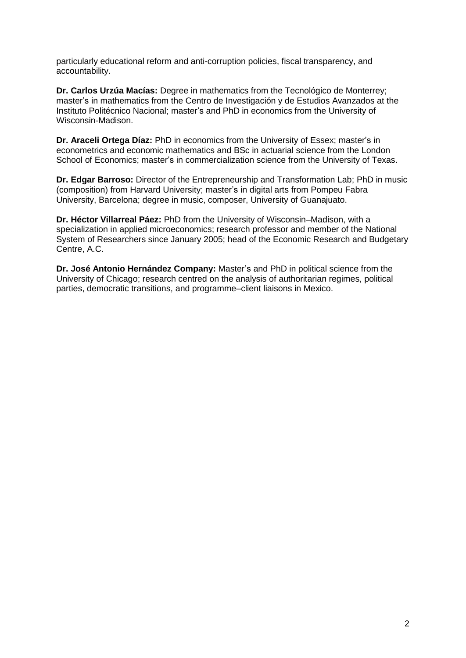particularly educational reform and anti-corruption policies, fiscal transparency, and accountability.

**Dr. Carlos Urzúa Macías:** Degree in mathematics from the Tecnológico de Monterrey; master's in mathematics from the Centro de Investigación y de Estudios Avanzados at the Instituto Politécnico Nacional; master's and PhD in economics from the University of Wisconsin-Madison.

**Dr. Araceli Ortega Díaz:** PhD in economics from the University of Essex; master's in econometrics and economic mathematics and BSc in actuarial science from the London School of Economics; master's in commercialization science from the University of Texas.

**Dr. Edgar Barroso:** Director of the Entrepreneurship and Transformation Lab; PhD in music (composition) from Harvard University; master's in digital arts from Pompeu Fabra University, Barcelona; degree in music, composer, University of Guanajuato.

**Dr. Héctor Villarreal Páez:** PhD from the University of Wisconsin–Madison, with a specialization in applied microeconomics; research professor and member of the National System of Researchers since January 2005; head of the Economic Research and Budgetary Centre, A.C.

**Dr. José Antonio Hernández Company:** Master's and PhD in political science from the University of Chicago; research centred on the analysis of authoritarian regimes, political parties, democratic transitions, and programme–client liaisons in Mexico.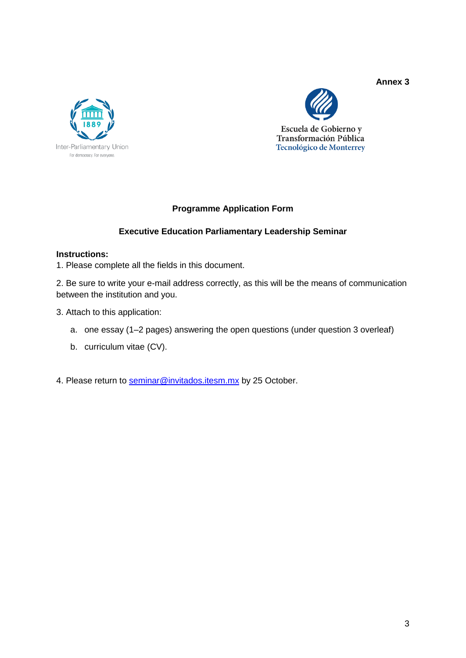#### **Annex 3**





# **Programme Application Form**

## **Executive Education Parliamentary Leadership Seminar**

#### **Instructions:**

1. Please complete all the fields in this document.

2. Be sure to write your e-mail address correctly, as this will be the means of communication between the institution and you.

- 3. Attach to this application:
	- a. one essay (1–2 pages) answering the open questions (under question 3 overleaf)
	- b. curriculum vitae (CV).
- 4. Please return to [seminar@invitados.itesm.mx](mailto:seminar@invitados.itesm.mx) by 25 October.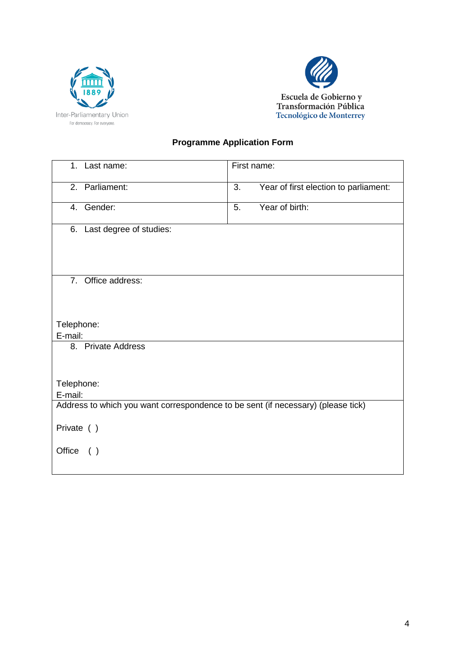



# **Programme Application Form**

| 1. Last name:                                                                    | First name:                                 |  |  |  |  |  |  |  |  |  |
|----------------------------------------------------------------------------------|---------------------------------------------|--|--|--|--|--|--|--|--|--|
| 2. Parliament:                                                                   | 3.<br>Year of first election to parliament: |  |  |  |  |  |  |  |  |  |
| 4. Gender:                                                                       | Year of birth:<br>5.                        |  |  |  |  |  |  |  |  |  |
| 6. Last degree of studies:                                                       |                                             |  |  |  |  |  |  |  |  |  |
| 7. Office address:                                                               |                                             |  |  |  |  |  |  |  |  |  |
| Telephone:<br>E-mail:                                                            |                                             |  |  |  |  |  |  |  |  |  |
| 8. Private Address                                                               |                                             |  |  |  |  |  |  |  |  |  |
| Telephone:<br>E-mail:                                                            |                                             |  |  |  |  |  |  |  |  |  |
| Address to which you want correspondence to be sent (if necessary) (please tick) |                                             |  |  |  |  |  |  |  |  |  |
| Private ()                                                                       |                                             |  |  |  |  |  |  |  |  |  |
| Office ()                                                                        |                                             |  |  |  |  |  |  |  |  |  |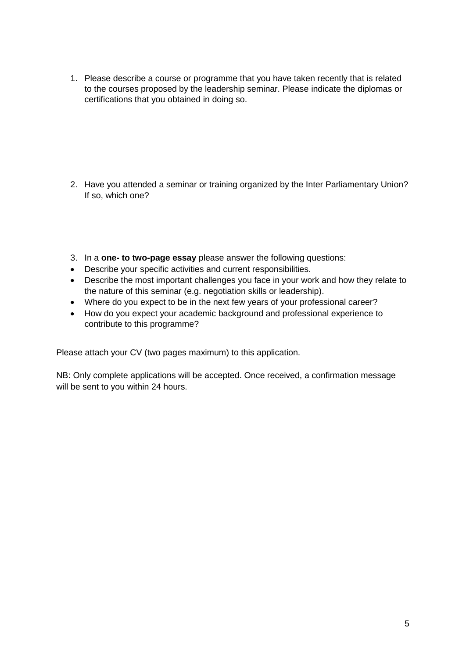1. Please describe a course or programme that you have taken recently that is related to the courses proposed by the leadership seminar. Please indicate the diplomas or certifications that you obtained in doing so.

- 2. Have you attended a seminar or training organized by the Inter Parliamentary Union? If so, which one?
- 3. In a **one- to two-page essay** please answer the following questions:
- Describe your specific activities and current responsibilities.
- Describe the most important challenges you face in your work and how they relate to the nature of this seminar (e.g. negotiation skills or leadership).
- Where do you expect to be in the next few years of your professional career?
- How do you expect your academic background and professional experience to contribute to this programme?

Please attach your CV (two pages maximum) to this application.

NB: Only complete applications will be accepted. Once received, a confirmation message will be sent to you within 24 hours.